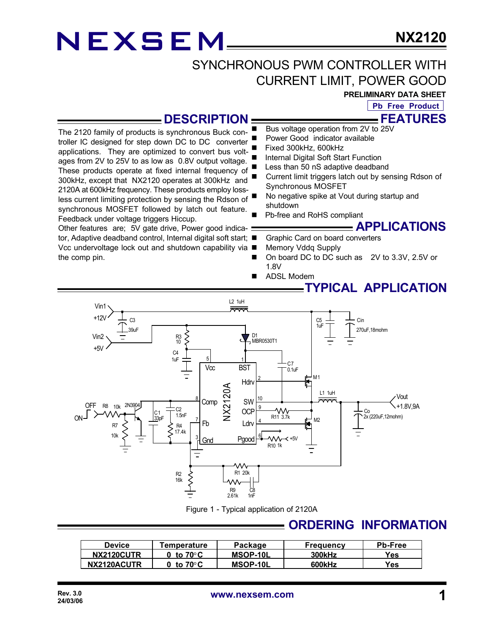### SYNCHRONOUS PWM CONTROLLER WITH CURRENT LIMIT, POWER GOOD

**PRELIMINARY DATA SHEET**

**FEATURES Pb Free Product**

#### **DESCRIPTION**

The 2120 family of products is synchronous Buck controller IC designed for step down DC to DC converter applications. They are optimized to convert bus voltages from 2V to 25V to as low as 0.8V output voltage. These products operate at fixed internal frequency of 300kHz, except that NX2120 operates at 300kHz and 2120A at 600kHz frequency. These products employ lossless current limiting protection by sensing the Rdson of synchronous MOSFET followed by latch out feature. Feedback under voltage triggers Hiccup.

Other features are; 5V gate drive, Power good indicator, Adaptive deadband control, Internal digital soft start; ■ Vcc undervoltage lock out and shutdown capability via ■ the comp pin.

- Bus voltage operation from 2V to 25V
- Power Good indicator available
- Fixed 300kHz, 600kHz
- Internal Digital Soft Start Function
- Less than 50 nS adaptive deadband
- Current limit triggers latch out by sensing Rdson of Synchronous MOSFET
- No negative spike at Vout during startup and shutdown
- Pb-free and RoHS compliant

**APPLICATIONS**

- Graphic Card on board converters
- Memory Vddq Supply
- On board DC to DC such as 2V to 3.3V, 2.5V or 1.8V
- **ADSL Modem**

### **TYPICAL APPLICATION**



Figure 1 - Typical application of 2120A

### **ORDERING INFORMATION**

| <b>Device</b> | <b>Femperature</b> | Package  | <b>Frequency</b> | <b>Pb-Free</b> |
|---------------|--------------------|----------|------------------|----------------|
| NX2120CUTR    | to 70°C            | MSOP-10L | <b>300kHz</b>    | Yes            |
| NX2120ACUTR   | to 70°C            | MSOP-10L | 600kHz           | Yes.           |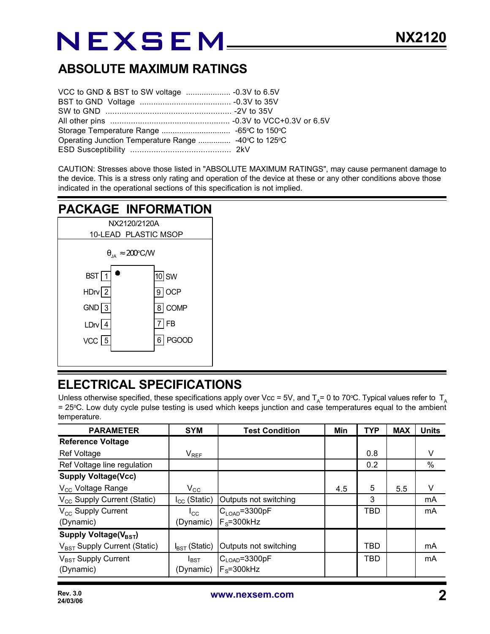### **ABSOLUTE MAXIMUM RATINGS**

| Operating Junction Temperature Range  -40°C to 125°C |  |
|------------------------------------------------------|--|
|                                                      |  |

CAUTION: Stresses above those listed in "ABSOLUTE MAXIMUM RATINGS", may cause permanent damage to the device. This is a stress only rating and operation of the device at these or any other conditions above those indicated in the operational sections of this specification is not implied.

### **PACKAGE INFORMATION**



### **ELECTRICAL SPECIFICATIONS**

Unless otherwise specified, these specifications apply over Vcc = 5V, and T<sub>A</sub>= 0 to 70°C. Typical values refer to T<sub>A</sub> = 25°C. Low duty cycle pulse testing is used which keeps junction and case temperatures equal to the ambient temperature.

| <b>PARAMETER</b>                         | <b>SYM</b>                | <b>Test Condition</b>        | Min | <b>TYP</b> | <b>MAX</b> | <b>Units</b> |
|------------------------------------------|---------------------------|------------------------------|-----|------------|------------|--------------|
| <b>Reference Voltage</b>                 |                           |                              |     |            |            |              |
| <b>Ref Voltage</b>                       | $V_{REF}$                 |                              |     | 0.8        |            | V            |
| Ref Voltage line regulation              |                           |                              |     | 0.2        |            | %            |
| <b>Supply Voltage(Vcc)</b>               |                           |                              |     |            |            |              |
| V <sub>cc</sub> Voltage Range            | $\rm V_{\rm CC}$          |                              | 4.5 | 5          | 5.5        | V            |
| V <sub>CC</sub> Supply Current (Static)  | $I_{CC}$ (Static)         | Outputs not switching        |     | 3          |            | mA           |
| V <sub>CC</sub> Supply Current           | $I_{\rm CC}$              | $ C_{\mathsf{LOAD}}$ =3300pF |     | <b>TBD</b> |            | mA           |
| (Dynamic)                                | (Dynamic)                 | $F_s = 300$ kHz              |     |            |            |              |
| Supply Voltage( $V_{\text{BST}}$ )       |                           |                              |     |            |            |              |
| V <sub>BST</sub> Supply Current (Static) | $I_{\text{BST}}$ (Static) | Outputs not switching        |     | TBD        |            | mA           |
| $V_{\text{BST}}$ Supply Current          | $I_{\text{BST}}$          | C <sub>LOAD</sub> =3300pF    |     | <b>TBD</b> |            | mA           |
| (Dynamic)                                | (Dynamic)                 | $F_s = 300$ kHz              |     |            |            |              |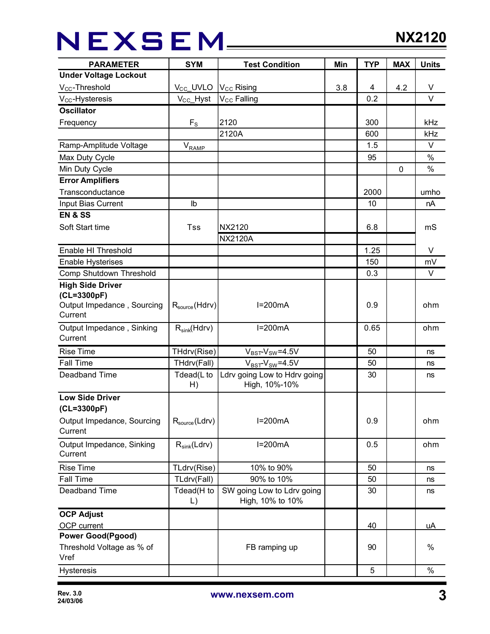## NEXSEM\_\_\_\_

| <b>PARAMETER</b>                      | <b>SYM</b>            | <b>Test Condition</b>                         | Min | <b>TYP</b> | <b>MAX</b>  | <b>Units</b> |
|---------------------------------------|-----------------------|-----------------------------------------------|-----|------------|-------------|--------------|
| <b>Under Voltage Lockout</b>          |                       |                                               |     |            |             |              |
| V <sub>cc</sub> -Threshold            | V <sub>CC</sub> _UVLO | $V_{\text{CC}}$ Rising                        | 3.8 | 4          | 4.2         | V            |
| $V_{CC}$ -Hysteresis                  | V <sub>CC</sub> _Hyst | V <sub>CC</sub> Falling                       |     | 0.2        |             | $\vee$       |
| <b>Oscillator</b>                     |                       |                                               |     |            |             |              |
| Frequency                             | $F_S$                 | 2120                                          |     | 300        |             | kHz          |
|                                       |                       | 2120A                                         |     | 600        |             | kHz          |
| Ramp-Amplitude Voltage                | $V_{RAMP}$            |                                               |     | 1.5        |             | $\vee$       |
| Max Duty Cycle                        |                       |                                               |     | 95         |             | $\%$         |
| Min Duty Cycle                        |                       |                                               |     |            | $\mathbf 0$ | $\%$         |
| <b>Error Amplifiers</b>               |                       |                                               |     |            |             |              |
| Transconductance                      |                       |                                               |     | 2000       |             | umho         |
| Input Bias Current                    | lb                    |                                               |     | 10         |             | nA           |
| <b>EN &amp; SS</b>                    |                       |                                               |     |            |             |              |
| Soft Start time                       | <b>Tss</b>            | NX2120                                        |     | 6.8        |             | mS           |
|                                       |                       | <b>NX2120A</b>                                |     |            |             |              |
| Enable HI Threshold                   |                       |                                               |     | 1.25       |             | V            |
| <b>Enable Hysterises</b>              |                       |                                               |     | 150        |             | mV           |
| Comp Shutdown Threshold               |                       |                                               |     | 0.3        |             | V            |
| <b>High Side Driver</b>               |                       |                                               |     |            |             |              |
| (CL=3300pF)                           |                       |                                               |     |            |             |              |
| Output Impedance, Sourcing            | $R_{source}(Hdrv)$    | $I=200mA$                                     |     | 0.9        |             | ohm          |
| Current                               |                       |                                               |     |            |             |              |
| Output Impedance, Sinking             | $R_{sink}(Hdrv)$      | $I=200mA$                                     |     | 0.65       |             | ohm          |
| Current                               |                       |                                               |     |            |             |              |
| <b>Rise Time</b>                      | THdrv(Rise)           | $V_{BST}$ - $V_{SW}$ =4.5V                    |     | 50         |             | ns           |
| <b>Fall Time</b>                      | THdrv(Fall)           | $V_{BST}$ - $V_{SW}$ =4.5V                    |     | 50         |             | ns           |
| Deadband Time                         | Tdead(L to<br>H)      | Ldrv going Low to Hdrv going<br>High, 10%-10% |     | 30         |             | ns           |
| <b>Low Side Driver</b>                |                       |                                               |     |            |             |              |
| (CL=3300pF)                           |                       |                                               |     |            |             |              |
| Output Impedance, Sourcing<br>Current | $R_{source}(Ldrv)$    | $I=200mA$                                     |     | 0.9        |             | ohm          |
| Output Impedance, Sinking             | $R_{sink}(Ldrv)$      | $I=200mA$                                     |     | 0.5        |             | ohm          |
| Current                               |                       |                                               |     |            |             |              |
| <b>Rise Time</b>                      | TLdrv(Rise)           | 10% to 90%                                    |     | 50         |             | ns           |
| <b>Fall Time</b>                      | TLdrv(Fall)           | 90% to 10%                                    |     | 50         |             | ns           |
| Deadband Time                         | Tdead(H to            | SW going Low to Ldrv going                    |     | 30         |             | ns           |
|                                       | $\mathsf{L}$          | High, 10% to 10%                              |     |            |             |              |
| <b>OCP Adjust</b>                     |                       |                                               |     |            |             |              |
| OCP current                           |                       |                                               |     | 40         |             | uA           |
| <b>Power Good(Pgood)</b>              |                       |                                               |     |            |             |              |
| Threshold Voltage as % of<br>Vref     |                       | FB ramping up                                 |     | 90         |             | $\%$         |
| <b>Hysteresis</b>                     |                       |                                               |     | 5          |             | $\%$         |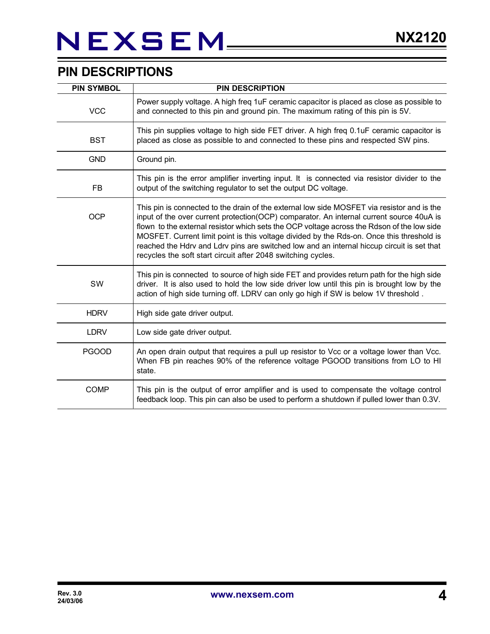### **PIN DESCRIPTIONS**

| <b>PIN SYMBOL</b> | <b>PIN DESCRIPTION</b>                                                                                                                                                                                                                                                                                                                                                                                                                                                                                                                          |
|-------------------|-------------------------------------------------------------------------------------------------------------------------------------------------------------------------------------------------------------------------------------------------------------------------------------------------------------------------------------------------------------------------------------------------------------------------------------------------------------------------------------------------------------------------------------------------|
| <b>VCC</b>        | Power supply voltage. A high freq 1uF ceramic capacitor is placed as close as possible to<br>and connected to this pin and ground pin. The maximum rating of this pin is 5V.                                                                                                                                                                                                                                                                                                                                                                    |
| <b>BST</b>        | This pin supplies voltage to high side FET driver. A high freq 0.1uF ceramic capacitor is<br>placed as close as possible to and connected to these pins and respected SW pins.                                                                                                                                                                                                                                                                                                                                                                  |
| <b>GND</b>        | Ground pin.                                                                                                                                                                                                                                                                                                                                                                                                                                                                                                                                     |
| FB                | This pin is the error amplifier inverting input. It is connected via resistor divider to the<br>output of the switching regulator to set the output DC voltage.                                                                                                                                                                                                                                                                                                                                                                                 |
| <b>OCP</b>        | This pin is connected to the drain of the external low side MOSFET via resistor and is the<br>input of the over current protection(OCP) comparator. An internal current source 40uA is<br>flown to the external resistor which sets the OCP voltage across the Rdson of the low side<br>MOSFET. Current limit point is this voltage divided by the Rds-on. Once this threshold is<br>reached the Hdrv and Ldrv pins are switched low and an internal hiccup circuit is set that<br>recycles the soft start circuit after 2048 switching cycles. |
| SW                | This pin is connected to source of high side FET and provides return path for the high side<br>driver. It is also used to hold the low side driver low until this pin is brought low by the<br>action of high side turning off. LDRV can only go high if SW is below 1V threshold.                                                                                                                                                                                                                                                              |
| <b>HDRV</b>       | High side gate driver output.                                                                                                                                                                                                                                                                                                                                                                                                                                                                                                                   |
| <b>LDRV</b>       | Low side gate driver output.                                                                                                                                                                                                                                                                                                                                                                                                                                                                                                                    |
| <b>PGOOD</b>      | An open drain output that requires a pull up resistor to Vcc or a voltage lower than Vcc.<br>When FB pin reaches 90% of the reference voltage PGOOD transitions from LO to HI<br>state.                                                                                                                                                                                                                                                                                                                                                         |
| <b>COMP</b>       | This pin is the output of error amplifier and is used to compensate the voltage control<br>feedback loop. This pin can also be used to perform a shutdown if pulled lower than 0.3V.                                                                                                                                                                                                                                                                                                                                                            |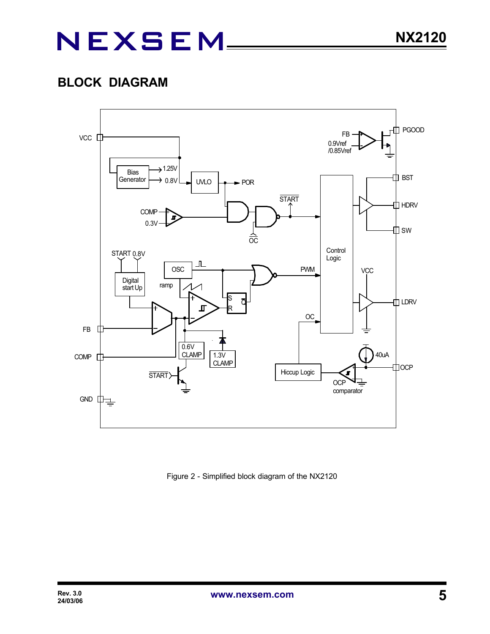### **BLOCK DIAGRAM**



Figure 2 - Simplified block diagram of the NX2120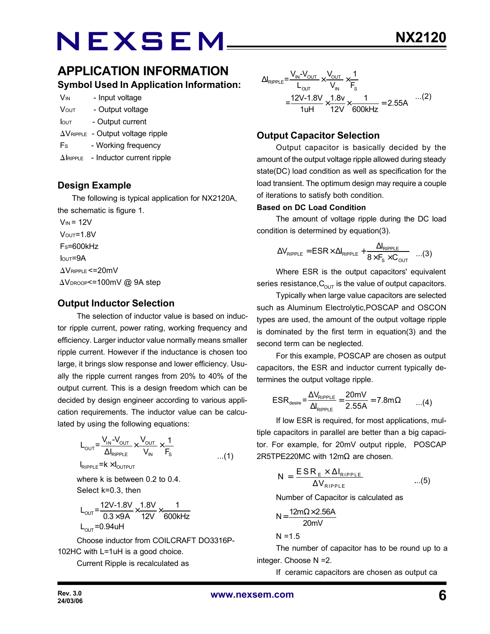### **APPLICATION INFORMATION Symbol Used In Application Information:**

| V <sub>IN</sub>         | - Input voltage  |
|-------------------------|------------------|
| <b>V</b> <sub>OUT</sub> | - Output voltage |

- Iout Output current
- $\Delta V_{RIPPLE}$  Output voltage ripple
- Fs Working frequency
- $\Delta$ IRIPPLE Inductor current ripple

#### **Design Example**

 The following is typical application for NX2120A, the schematic is figure 1.

 $V_{IN}$  = 12V  $V<sub>OUT</sub>=1.8V$  $Fs=600kHz$  $I<sub>OUT</sub>=9A$  $\Delta V$ RIPPLE <= 20mV  $\Delta V_{\text{DROOP}}$  <= 100mV @ 9A step

#### **Output Inductor Selection**

The selection of inductor value is based on inductor ripple current, power rating, working frequency and efficiency. Larger inductor value normally means smaller ripple current. However if the inductance is chosen too large, it brings slow response and lower efficiency. Usually the ripple current ranges from 20% to 40% of the output current. This is a design freedom which can be decided by design engineer according to various application requirements. The inductor value can be calculated by using the following equations:

$$
L_{\text{OUT}} = \frac{V_{\text{IN}} - V_{\text{OUT}}}{\Delta I_{\text{RIPPLE}}} \times \frac{V_{\text{OUT}}}{V_{\text{IN}}} \times \frac{1}{F_{\text{s}}}
$$
  

$$
I_{\text{RIPPLE}} = k \times I_{\text{OUTPUT}}
$$

where k is between 0.2 to 0.4. Select k=0.3, then

$$
L_{\text{OUT}} = \frac{12V - 1.8V}{0.3 \times 9A} \times \frac{1.8V}{12V} \times \frac{1}{600kHz}
$$
  
L<sub>OUT</sub> = 0.94uH

Choose inductor from COILCRAFT DO3316P-102HC with L=1uH is a good choice.

Current Ripple is recalculated as

$$
\Delta I_{\text{RIPPLE}} = \frac{V_{\text{IN}} - V_{\text{OUT}}}{L_{\text{OUT}}} \times \frac{V_{\text{OUT}}}{V_{\text{IN}}} \times \frac{1}{F_s}
$$
  
= 
$$
\frac{12V - 1.8V}{1uH} \times \frac{1.8v}{12V} \times \frac{1}{600kHz} = 2.55A
$$
...(2)

#### **Output Capacitor Selection**

Output capacitor is basically decided by the amount of the output voltage ripple allowed during steady state(DC) load condition as well as specification for the load transient. The optimum design may require a couple of iterations to satisfy both condition.

#### **Based on DC Load Condition**

The amount of voltage ripple during the DC load condition is determined by equation(3).

$$
\Delta V_{\text{RIPPLE}} = ESR \times \Delta I_{\text{RIPPLE}} + \frac{\Delta I_{\text{RIPPLE}}}{8 \times F_s \times C_{\text{OUT}}} \quad ...(3)
$$

Where ESR is the output capacitors' equivalent series resistance,  $C_{\text{OUT}}$  is the value of output capacitors.

Typically when large value capacitors are selected such as Aluminum Electrolytic,POSCAP and OSCON types are used, the amount of the output voltage ripple is dominated by the first term in equation(3) and the second term can be neglected.

For this example, POSCAP are chosen as output capacitors, the ESR and inductor current typically determines the output voltage ripple.

$$
ESR_{\text{desire}} = \frac{\Delta V_{\text{RIPPLE}}}{\Delta I_{\text{RIPPLE}}} = \frac{20 \text{mV}}{2.55 \text{A}} = 7.8 \text{m}\Omega \qquad ...(4)
$$

If low ESR is required, for most applications, multiple capacitors in parallel are better than a big capacitor. For example, for 20mV output ripple, POSCAP 2R5TPE220MC with 12mΩ are chosen.

$$
N = \frac{ESR_{E} \times \Delta I_{RIPPLE}}{\Delta V_{RIPPLE}} \qquad ...(5)
$$

Number of Capacitor is calculated as

$$
N = \frac{12m\Omega \times 2.56A}{20mV}
$$

 $N = 1.5$ 

The number of capacitor has to be round up to a integer. Choose N =2.

If ceramic capacitors are chosen as output ca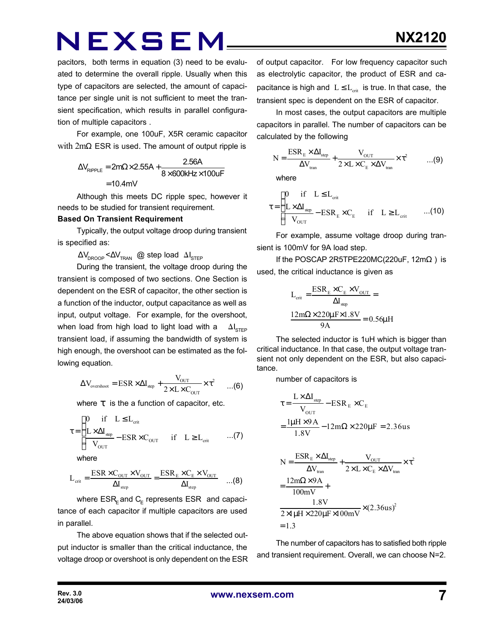pacitors, both terms in equation (3) need to be evaluated to determine the overall ripple. Usually when this type of capacitors are selected, the amount of capacitance per single unit is not sufficient to meet the transient specification, which results in parallel configuration of multiple capacitors .

For example, one 100uF, X5R ceramic capacitor with  $2m\Omega$  ESR is used. The amount of output ripple is

$$
\Delta V_{\text{RIPPLE}} = 2m\Omega \times 2.55A + \frac{2.56A}{8 \times 600kHz \times 100uF}
$$

$$
= 10.4mV
$$

Although this meets DC ripple spec, however it needs to be studied for transient requirement.

#### **Based On Transient Requirement**

Typically, the output voltage droop during transient is specified as:

 $\Delta V_{\text{DROOP}}$  < $\Delta V_{\text{TRAN}}$  @ step load  $\Delta I_{\text{STEP}}$ 

During the transient, the voltage droop during the transient is composed of two sections. One Section is dependent on the ESR of capacitor, the other section is a function of the inductor, output capacitance as well as input, output voltage. For example, for the overshoot, when load from high load to light load with a  $\Delta I_{\text{error}}$ transient load, if assuming the bandwidth of system is high enough, the overshoot can be estimated as the following equation.

$$
\Delta V_{\text{overshoot}} = \text{ESR} \times \Delta I_{\text{step}} + \frac{V_{\text{OUT}}}{2 \times L \times C_{\text{OUT}}} \times \tau^2 \qquad ... (6)
$$

where *t* is the a function of capacitor, etc.

$$
\tau = \begin{cases} 0 & \text{if} \quad L \leq L_{\text{crit}} \\ \frac{L \times \Delta I_{\text{step}}}{V_{\text{OUT}}} - \text{ESR} \times C_{\text{OUT}} & \text{if} \quad L \geq L_{\text{crit}} \end{cases} \tag{7}
$$

where

$$
L_{\text{crit}} = \frac{\text{ESR} \times C_{\text{OUT}} \times V_{\text{OUT}}}{\Delta I_{\text{step}}} = \frac{\text{ESR}_{\text{E}} \times C_{\text{E}} \times V_{\text{OUT}}}{\Delta I_{\text{step}}} \quad \dots (8)
$$

where  $\mathsf{ESR}_\mathsf{E}$ and  $\mathsf{C}_\mathsf{E}$  represents  $\mathsf{ESR}\;$  and capacitance of each capacitor if multiple capacitors are used in parallel.

The above equation shows that if the selected output inductor is smaller than the critical inductance, the voltage droop or overshoot is only dependent on the ESR of output capacitor. For low frequency capacitor such as electrolytic capacitor, the product of ESR and capacitance is high and  $L \leq L_{crit}$  is true. In that case, the transient spec is dependent on the ESR of capacitor.

In most cases, the output capacitors are multiple capacitors in parallel. The number of capacitors can be calculated by the following

$$
N = \frac{ESR_{E} \times \Delta I_{step}}{\Delta V_{tran}} + \frac{V_{OUT}}{2 \times L \times C_{E} \times \Delta V_{tran}} \times \tau^{2}
$$
 ...(9)

where

$$
\tau = \begin{cases}\n0 & \text{if } L \leq L_{\text{crit}} \\
\frac{L \times \Delta I_{\text{step}}}{V_{\text{OUT}}} - \text{ESR}_{E} \times C_{E} & \text{if } L \geq L_{\text{crit}} \quad ...(10)\n\end{cases}
$$

For example, assume voltage droop during transient is 100mV for 9A load step.

If the POSCAP 2R5TPE220MC(220uF,  $12m\Omega$ ) is used, the critical inductance is given as

$$
L_{crit} = \frac{ESR_{E} \times C_{E} \times V_{OUT}}{\Delta I_{step}} =
$$

$$
\frac{12m\Omega \times 220\mu F \times 1.8V}{9A} = 0.56\mu H
$$

The selected inductor is 1uH which is bigger than critical inductance. In that case, the output voltage transient not only dependent on the ESR, but also capacitance.

number of capacitors is

$$
\tau = \frac{L \times \Delta I_{\text{step}}}{V_{\text{OUT}}} - \text{ESR}_{E} \times C_{E}
$$

$$
= \frac{l\mu H \times 9A}{1.8V} - 12m\Omega \times 220\mu F = 2.36us
$$

$$
N = \frac{ESR_E \times \Delta I_{step}}{\Delta V_{tran}} + \frac{V_{OUT}}{2 \times L \times C_E \times \Delta V_{tran}} \times \tau^2
$$
  
= 
$$
\frac{12m\Omega \times 9A}{100mV} +
$$

$$
\frac{1.8V}{2 \times 1 \mu H \times 220 \mu F \times 100mV} \times (2.36us)^2
$$
  
= 1.3

The number of capacitors has to satisfied both ripple and transient requirement. Overall, we can choose N=2.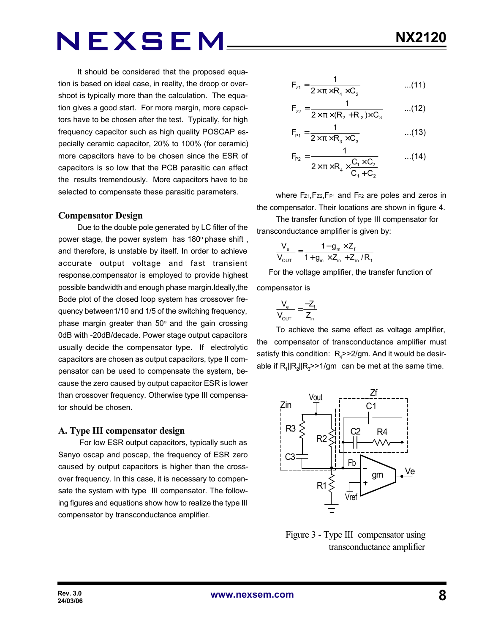It should be considered that the proposed equation is based on ideal case, in reality, the droop or overshoot is typically more than the calculation. The equation gives a good start. For more margin, more capacitors have to be chosen after the test. Typically, for high frequency capacitor such as high quality POSCAP especially ceramic capacitor, 20% to 100% (for ceramic) more capacitors have to be chosen since the ESR of capacitors is so low that the PCB parasitic can affect the results tremendously. More capacitors have to be selected to compensate these parasitic parameters.

#### **Compensator Design**

Due to the double pole generated by LC filter of the power stage, the power system has 180° phase shift, and therefore, is unstable by itself. In order to achieve accurate output voltage and fast transient response,compensator is employed to provide highest possible bandwidth and enough phase margin.Ideally,the Bode plot of the closed loop system has crossover frequency between1/10 and 1/5 of the switching frequency, phase margin greater than  $50^{\circ}$  and the gain crossing 0dB with -20dB/decade. Power stage output capacitors usually decide the compensator type. If electrolytic capacitors are chosen as output capacitors, type II compensator can be used to compensate the system, because the zero caused by output capacitor ESR is lower than crossover frequency. Otherwise type III compensator should be chosen.

#### **A. Type III compensator design**

 For low ESR output capacitors, typically such as Sanyo oscap and poscap, the frequency of ESR zero caused by output capacitors is higher than the crossover frequency. In this case, it is necessary to compensate the system with type III compensator. The following figures and equations show how to realize the type III compensator by transconductance amplifier.

$$
F_{z1} = \frac{1}{2 \times \pi \times R_4 \times C_2}
$$
...(11)

$$
F_{22} = \frac{1}{2 \times \pi \times (R_2 + R_3) \times C_3}
$$
...(12)

$$
F_{\rm p_1} = \frac{1}{2 \times \pi \times R_3 \times C_3}
$$
...(13)

$$
F_{P2} = \frac{1}{2 \times \pi \times R_4 \times \frac{C_1 \times C_2}{C_1 + C_2}}
$$
...(14)

where Fz<sub>1</sub>, Fz<sub>2</sub>, F<sub>P1</sub> and F<sub>P2</sub> are poles and zeros in the compensator. Their locations are shown in figure 4.

The transfer function of type III compensator for transconductance amplifier is given by:

$$
\frac{V_{e}}{V_{\text{OUT}}} = \frac{1 - g_{m} \times Z_{f}}{1 + g_{m} \times Z_{in} + Z_{in} / R_{f}}
$$

 For the voltage amplifier, the transfer function of compensator is

$$
\frac{V_e}{V_{OUT}} = \frac{-Z_f}{Z_{in}}
$$

To achieve the same effect as voltage amplifier, the compensator of transconductance amplifier must satisfy this condition:  $R_{\rm 4}$ >>2/gm. And it would be desirable if  $R_1$ || $R_2$ || $R_3$ >>1/gm can be met at the same time.



 Figure 3 - Type III compensator using transconductance amplifier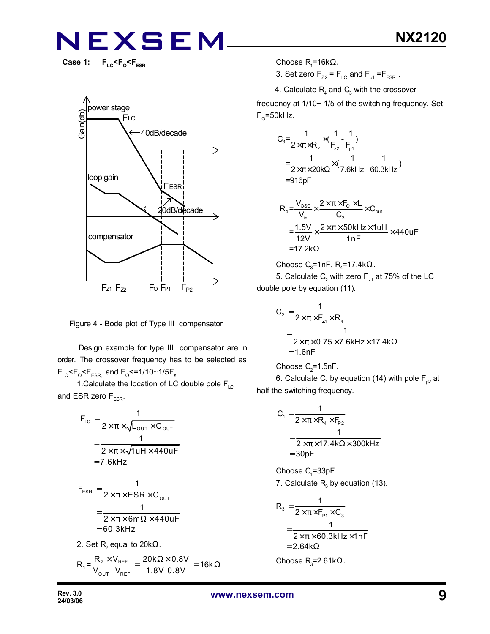Case 1: F<sub>LC</sub><F<sub>o</sub><F<sub>ESR</sub>



Figure 4 - Bode plot of Type III compensator

 Design example for type III compensator are in order. The crossover frequency has to be selected as  $F_{LC}$ < $F_{C}$ < $F_{ESR,}$  and  $F_{O}$ <=1/10~1/5 $F_{s.}$ 

1. Calculate the location of LC double pole  $F_{\text{LC}}$ and ESR zero  $F_{ESR}$ .

$$
F_{LC} = \frac{1}{2 \times \pi \times \sqrt{L_{OUT} \times C_{OUT}}}
$$

$$
= \frac{1}{2 \times \pi \times \sqrt{1 uH \times 440 uF}}
$$

$$
= 7.6kHz
$$

$$
F_{ESR} = \frac{1}{2 \times \pi \times ESR \times C_{OUT}}
$$

$$
= \frac{1}{2 \times \pi \times 6m\Omega \times 440uF}
$$

$$
= 60.3kHz
$$

2. Set  $\mathsf{R}_{\mathsf{2}}$  equal to 20k $\Omega.$ 

$$
R_1 = \frac{R_2 \times V_{REF}}{V_{OUT} - V_{REF}} = \frac{20k\Omega \times 0.8V}{1.8V - 0.8V} = 16k\Omega
$$

Choose R<sub>1</sub>=16kΩ.

3. Set zero  $F_{Z2} = F_{LC}$  and  $F_{p1} = F_{ESR}$ .

4. Calculate  $R_4$  and  $C_3$  with the crossover

frequency at 1/10~ 1/5 of the switching frequency. Set  $\mathsf{F}_\mathsf{O}^{\mathsf{=50kHz}.}$ 

$$
C_3 = \frac{1}{2 \times \pi \times R_2} \times (\frac{1}{F_{22}} - \frac{1}{F_{p1}})
$$
  
=  $\frac{1}{2 \times \pi \times 20k\Omega} \times (\frac{1}{7.6kHz} - \frac{1}{60.3kHz})$   
= 916pF

$$
R_{4} = \frac{V_{\text{osc}}}{V_{\text{in}}} \times \frac{2 \times \pi \times F_{\text{o}} \times L}{C_{3}} \times C_{\text{out}}
$$
  
= 
$$
\frac{1.5V}{12V} \times \frac{2 \times \pi \times 50kHz \times 1uH}{1nF} \times 440uF
$$
  
= 17.2k $\Omega$ 

Choose C<sub>3</sub>=1nF, R<sub>4</sub>=17.4k
$$
\Omega
$$
.

5. Calculate  $\mathsf{C}_2$  with zero  $\mathsf{F}_{\mathsf{z}1}$  at 75% of the LC double pole by equation (11).

$$
C_2 = \frac{1}{2 \times \pi \times F_{z1} \times R_4}
$$
  
= 
$$
\frac{1}{2 \times \pi \times 0.75 \times 7.6 \text{kHz} \times 17.4 \text{k}\Omega}
$$
  
= 1.6nF

Choose 
$$
C_2 = 1.5nF
$$
.

6. Calculate  $\mathsf{C}_\mathsf{1}$  by equation (14) with pole  $\mathsf{F}_{\mathsf{p2}}$  at half the switching frequency.

$$
C_1 = \frac{1}{2 \times \pi \times R_4 \times F_{p_2}}
$$
  
= 
$$
\frac{1}{2 \times \pi \times 17.4 \text{ k}\Omega \times 300 \text{ kHz}}
$$
  
= 30pF

Choose  $C_1 = 33pF$ 7. Calculate  $R_3$  by equation (13).

$$
R_3 = \frac{1}{2 \times \pi \times F_{P1} \times C_3}
$$
  
= 
$$
\frac{1}{2 \times \pi \times 60.3 \text{kHz} \times 1 \text{nF}}
$$
  
= 2.64k $\Omega$ 

Choose  $R$ <sub>3</sub>=2.61kΩ.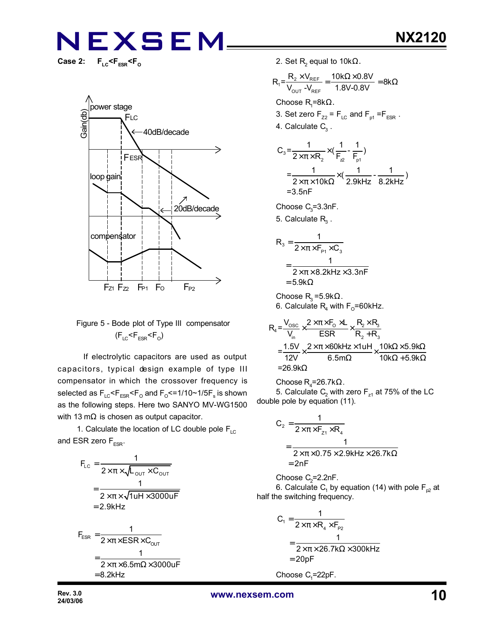**Case 2: FLC<FESR<F<sup>O</sup>**



#### Figure 5 - Bode plot of Type III compensator  $(F_{LC}$ < $F_{ESR}$ < $F_{O}$ )

 If electrolytic capacitors are used as output capacitors, typical design example of type III compensator in which the crossover frequency is selected as  $\mathsf{F_{\scriptscriptstyle{LC}}}$ < $\mathsf{F_{\scriptscriptstyle{ESR}}}$ < $\mathsf{F_{\scriptscriptstyle{O}}}$  and  $\mathsf{F_{\scriptscriptstyle{O}}}$ <=1/10~1/5 $\mathsf{F_{\scriptscriptstyle{s}}}$  is shown as the following steps. Here two SANYO MV-WG1500 with 13 m $\Omega$  is chosen as output capacitor.

1. Calculate the location of LC double pole  $F_{LC}$ and ESR zero  $F_{ESR}$ .

$$
F_{LC} = \frac{1}{2 \times \pi \times \sqrt{L_{OUT} \times C_{OUT}}}
$$
  
= 
$$
\frac{1}{2 \times \pi \times \sqrt{1 u H \times 3000 u F}}
$$
  
= 2.9kHz  

$$
F_{ESR} = \frac{1}{2 \times \pi \times ESR \times C_{OUT}}
$$
  
= 
$$
\frac{1}{2 \times \pi \times 6.5 m \Omega \times 3000 u F}
$$
  
= 8.2kHz

2. Set  $\mathsf{R}_{\mathsf{2}}$  equal to 10k $\Omega$ .

$$
R_{1} = \frac{R_{2} \times V_{REF}}{V_{OUT} - V_{REF}} = \frac{10k\Omega \times 0.8V}{1.8V - 0.8V} = 8k\Omega
$$
  
Choose R<sub>1</sub>=8k $\Omega$ .  
3. Set zero F<sub>zz</sub> = F<sub>LC</sub> and F<sub>p1</sub> =F<sub>ESR</sub>.  
4. Calculate C<sub>3</sub>.

$$
C_3 = \frac{1}{2 \times \pi \times R_2} \times (\frac{1}{F_2} - \frac{1}{F_{p1}})
$$
  
=  $\frac{1}{2 \times \pi \times 10k\Omega} \times (\frac{1}{2.9kHz} - \frac{1}{8.2kHz})$   
= 3.5nF

Choose  $C_3 = 3.3$ nF.

5. Calculate  $\mathsf{R}_{\mathsf{3}}$  .

$$
R_3 = \frac{1}{2 \times \pi \times F_{p_1} \times C_3}
$$
  
= 
$$
\frac{1}{2 \times \pi \times 8.2 \text{kHz} \times 3.3 \text{nF}}
$$
  
= 5.9k $\Omega$ 

Choose  $\mathsf{R}_{3}$ =5.9k $\Omega$ . 6. Calculate  $\mathsf{R}_{\mathsf{4}}$  with  $\mathsf{F}_{\mathsf{O}}$ =60kHz.

$$
R_4 = \frac{V_{\text{osc}}}{V_{\text{in}}} \times \frac{2 \times \pi \times F_0 \times L}{ESR} \times \frac{R_2 \times R_3}{R_2 + R_3}
$$
  
= 
$$
\frac{1.5V}{12V} \times \frac{2 \times \pi \times 60kHz \times 1uH}{6.5m\Omega} \times \frac{10k\Omega \times 5.9k\Omega}{10k\Omega + 5.9k\Omega}
$$
  
= 26.9k\Omega

Choose  $R_4 = 26.7k\Omega$ . 5. Calculate  $\mathsf{C}_2$  with zero  $\mathsf{F}_{\mathsf{z}1}$  at 75% of the LC double pole by equation (11).

$$
C_2 = \frac{1}{2 \times \pi \times F_{z1} \times R_4}
$$
  
= 
$$
\frac{1}{2 \times \pi \times 0.75 \times 2.9 \text{kHz} \times 26.7 \text{k}\Omega}
$$
  
= 2nF

Choose  $C_2$ =2.2nF. 6. Calculate  $\mathsf{C}_\mathsf{1}$  by equation (14) with pole  $\mathsf{F}_{\mathsf{p2}}$  at half the switching frequency.

$$
C_1 = \frac{1}{2 \times \pi \times R_4 \times F_{p_2}}
$$
  
= 
$$
\frac{1}{2 \times \pi \times 26.7 k\Omega \times 300kHz}
$$
  
= 20pF

Choose  $C_1 = 22pF$ .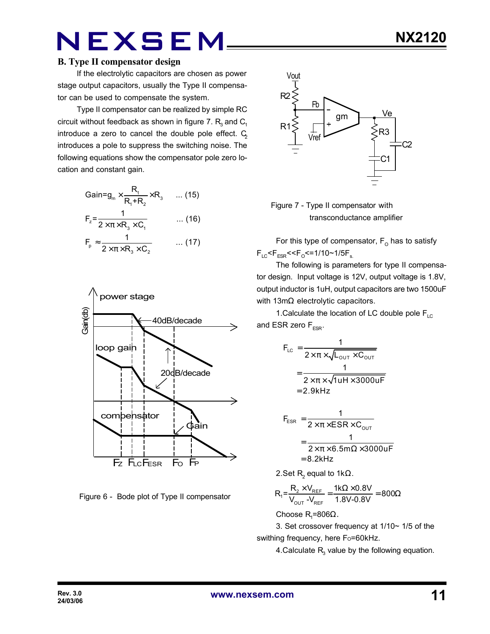#### **B. Type II compensator design**

If the electrolytic capacitors are chosen as power stage output capacitors, usually the Type II compensator can be used to compensate the system.

Type II compensator can be realized by simple RC circuit without feedback as shown in figure 7.  $\mathsf{R}_{_{\!3}}$  and  $\mathsf{C}_{_{\!1}}$ introduce a zero to cancel the double pole effect.  $C_2$ introduces a pole to suppress the switching noise. The following equations show the compensator pole zero location and constant gain.

$$
Gain = g_m \times \frac{R_1}{R_1 + R_2} \times R_3 \quad \dots (15)
$$
\n
$$
F_z = \frac{1}{2 \times \pi \times R_3 \times C_1} \quad \dots (16)
$$
\n
$$
F_p \approx \frac{1}{2 \times \pi \times R_3 \times C_2} \quad \dots (17)
$$



Figure 6 - Bode plot of Type II compensator



 Figure 7 - Type II compensator with transconductance amplifier

For this type of compensator,  $\mathsf{F}_\mathsf{O}$  has to satisfy F<sub>LC</sub><F<sub>ESR</sub><<F<sub>o</sub><=1/10~1/5F<sub>s.</sub>

The following is parameters for type II compensator design. Input voltage is 12V, output voltage is 1.8V, output inductor is 1uH, output capacitors are two 1500uF with 13mΩ electrolytic capacitors.

1. Calculate the location of LC double pole  $F_{\text{LC}}$ and ESR zero  $F_{ESR}$ .

$$
F_{LC} = \frac{1}{2 \times \pi \times \sqrt{L_{OUT} \times C_{OUT}}}
$$

$$
= \frac{1}{2 \times \pi \times \sqrt{1 uH \times 3000 uF}}
$$

$$
= 2.9kHz
$$

$$
F_{ESR} = \frac{1}{2 \times \pi \times ESR \times C_{OUT}}
$$
  
= 
$$
\frac{1}{2 \times \pi \times 6.5 \text{m}\Omega \times 3000 \text{uF}}
$$
  
= 8.2kHz

2.Set  $\mathsf{R}_{\mathsf{2}}$  equal to 1k $\Omega$ .

$$
R_{1} = \frac{R_{2} \times V_{REF}}{V_{OUT} - V_{REF}} = \frac{1 k \Omega \times 0.8 V}{1.8 V - 0.8 V} = 800 \Omega
$$

Choose R<sub>1</sub>=806Ω.

3. Set crossover frequency at 1/10~ 1/5 of the swithing frequency, here Fo=60kHz.

4.Calculate  $R_{3}$  value by the following equation.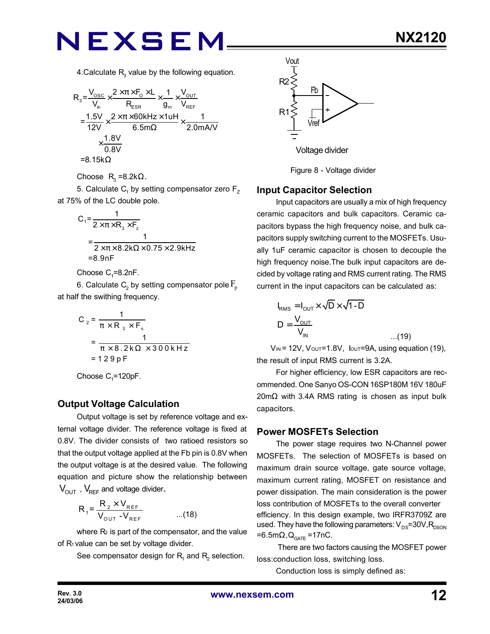4.Calculate  $R_{3}$  value by the following equation.

$$
R_{3} = \frac{V_{\text{osc}}}{V_{\text{n}}} \times \frac{2 \times \pi \times F_{\text{o}} \times L}{R_{\text{ESR}}} \times \frac{1}{g_{\text{m}}} \times \frac{V_{\text{OUT}}}{V_{\text{REF}}}
$$
\n
$$
= \frac{1.5V}{12V} \times \frac{2 \times \pi \times 60 \text{kHz} \times 1 \text{uH}}{6.5 \text{m}\Omega} \times \frac{1}{2.0 \text{mA/V}}
$$
\n
$$
\times \frac{1.8V}{0.8V}
$$
\n
$$
= 8.15k\Omega
$$

Choose  $R_3 = 8.2k\Omega$ .

5. Calculate  $\mathsf{C}_\mathsf{1}$  by setting compensator zero  $\mathsf{F}_\mathsf{Z}$ at 75% of the LC double pole.

$$
C_1 = \frac{1}{2 \times \pi \times R_3 \times F_2}
$$
  
= 
$$
\frac{1}{2 \times \pi \times 8.2 \times \Omega \times 0.75 \times 2.9 \times Hz}
$$
  
=8.9nF

Choose  $C_1$ =8.2nF.

6. Calculate  $\mathsf{C}_\mathsf{2}$  by setting compensator pole  $\mathrm{F}_\mathsf{p}$ at half the swithing frequency.

$$
C_2 = \frac{1}{\pi \times R_3 \times F_s}
$$
  
= 
$$
\frac{1}{\pi \times 8.2 \times 2 \times 300 \times Hz}
$$
  
= 129 pF

Choose  $C_1$ =120pF.

#### **Output Voltage Calculation**

Output voltage is set by reference voltage and external voltage divider. The reference voltage is fixed at 0.8V. The divider consists of two ratioed resistors so that the output voltage applied at the Fb pin is 0.8V when the output voltage is at the desired value. The following equation and picture show the relationship between  $V_{\text{OUT}}$ ,  $V_{\text{REF}}$  and voltage divider.

$$
R_1 = \frac{R_2 \times V_{REF}}{V_{OUT} - V_{REF}} \qquad \qquad \dots (18)
$$

where  $R_2$  is part of the compensator, and the value of R<sub>1</sub> value can be set by voltage divider.

See compensator design for  $\mathsf{R}_{\mathsf{1}}$  and  $\mathsf{R}_{\mathsf{2}}$  selection.



Figure 8 - Voltage divider

#### **Input Capacitor Selection**

Input capacitors are usually a mix of high frequency ceramic capacitors and bulk capacitors. Ceramic capacitors bypass the high frequency noise, and bulk capacitors supply switching current to the MOSFETs. Usually 1uF ceramic capacitor is chosen to decouple the high frequency noise.The bulk input capacitors are decided by voltage rating and RMS current rating. The RMS current in the input capacitors can be calculated as:

$$
I_{RMS} = I_{OUT} \times \sqrt{D} \times \sqrt{1 - D}
$$
  

$$
D = \frac{V_{OUT}}{V_{IN}}
$$
...(19)

 $V_{IN}$  = 12V,  $V_{OUT}$ =1.8V,  $I_{OUT}$ =9A, using equation (19), the result of input RMS current is 3.2A.

For higher efficiency, low ESR capacitors are recommended. One Sanyo OS-CON 16SP180M 16V 180uF 20mΩ with 3.4A RMS rating is chosen as input bulk capacitors.

#### **Power MOSFETs Selection**

The power stage requires two N-Channel power MOSFETs. The selection of MOSFETs is based on maximum drain source voltage, gate source voltage, maximum current rating, MOSFET on resistance and power dissipation. The main consideration is the power loss contribution of MOSFETs to the overall converter efficiency. In this design example, two IRFR3709Z are used. They have the following parameters:  $V_{DS}=30V, R_{DSON}$ =6.5m $\Omega$ , Q<sub>GATE</sub> =17nC.

 There are two factors causing the MOSFET power loss:conduction loss, switching loss.

Conduction loss is simply defined as: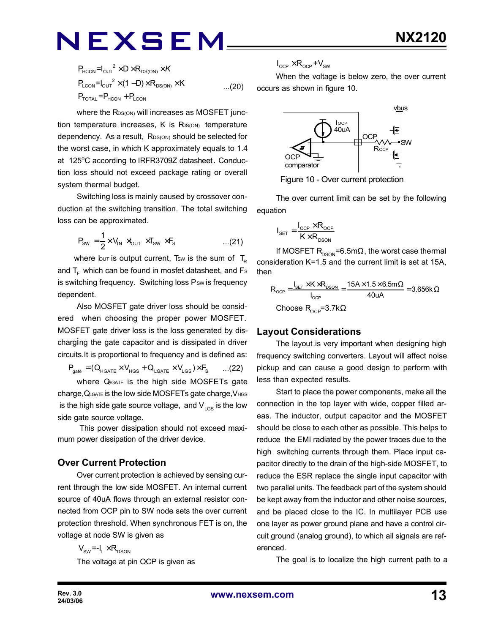$$
P_{HCON} = I_{OUT}^2 \times D \times R_{DS(ON)} \times K
$$
  
\n
$$
P_{LCON} = I_{OUT}^2 \times (1 - D) \times R_{DS(ON)} \times K
$$
...(20)  
\n
$$
P_{TOTAL} = P_{HCON} + P_{LCON}
$$

where the R<sub>DS(ON)</sub> will increases as MOSFET junction temperature increases,  $K$  is  $R_{S(ON)}$  temperature dependency. As a result, RDS(ON) should be selected for the worst case, in which K approximately equals to 1.4 at 125°C according to IRFR3709Z datasheet. Conduction loss should not exceed package rating or overall system thermal budget.

Switching loss is mainly caused by crossover conduction at the switching transition. The total switching loss can be approximated.

$$
P_{sw} = \frac{1}{2} \times V_{IN} \times V_{OUT} \times T_{SW} \times F_s \qquad \qquad \dots (21)
$$

where but is output current, Tsw is the sum of  $T_R$ and  $T_F$  which can be found in mosfet datasheet, and Fs is switching frequency. Switching loss Psw is frequency dependent.

Also MOSFET gate driver loss should be considered when choosing the proper power MOSFET. MOSFET gate driver loss is the loss generated by discharging the gate capacitor and is dissipated in driver circuits.It is proportional to frequency and is defined as:

 $P_{\text{gate}} = (Q_{\text{HGATE}} \times V_{\text{HGS}} + Q_{\text{LGATE}} \times V_{\text{LGS}}) \times F_{\text{S}}$  ...(22)

where Q<sub>IGATE</sub> is the high side MOSFETs gate charge,QLGATE is the low side MOSFETs gate charge,VHGS is the high side gate source voltage, and  $V_{LSS}$  is the low side gate source voltage.

 This power dissipation should not exceed maximum power dissipation of the driver device.

#### **Over Current Protection**

Over current protection is achieved by sensing current through the low side MOSFET. An internal current source of 40uA flows through an external resistor connected from OCP pin to SW node sets the over current protection threshold. When synchronous FET is on, the voltage at node SW is given as

$$
V_{\text{sw}} = -I_{L} \times R_{\text{DSON}}
$$
\nThe voltage at pin OCP is given as

$$
I_{\text{OCP}} \times R_{\text{OCP}} + V_{\text{SW}}
$$

When the voltage is below zero, the over current occurs as shown in figure 10.



Figure 10 - Over current protection

The over current limit can be set by the following equation

$$
I_{\text{SET}} = \frac{I_{\text{OCP}} \times R_{\text{OCP}}}{K \times R_{\text{DSON}}}
$$

If MOSFET  $R_{DSON} = 6.5 \text{m}\Omega$ , the worst case thermal consideration K=1.5 and the current limit is set at 15A, then

$$
R_{_{OCP}} = \frac{I_{_{SET}} \times K \times R_{_{DSON}}}{I_{_{OCP}}} = \frac{15A \times 1.5 \times 6.5m\Omega}{40uA} = 3.656k\Omega
$$
  
Choose R<sub>\_{OCP}</sub>=3.7k $\Omega$ 

#### **Layout Considerations**

The layout is very important when designing high frequency switching converters. Layout will affect noise pickup and can cause a good design to perform with less than expected results.

Start to place the power components, make all the connection in the top layer with wide, copper filled areas. The inductor, output capacitor and the MOSFET should be close to each other as possible. This helps to reduce the EMI radiated by the power traces due to the high switching currents through them. Place input capacitor directly to the drain of the high-side MOSFET, to reduce the ESR replace the single input capacitor with two parallel units. The feedback part of the system should be kept away from the inductor and other noise sources, and be placed close to the IC. In multilayer PCB use one layer as power ground plane and have a control circuit ground (analog ground), to which all signals are referenced.

The goal is to localize the high current path to a